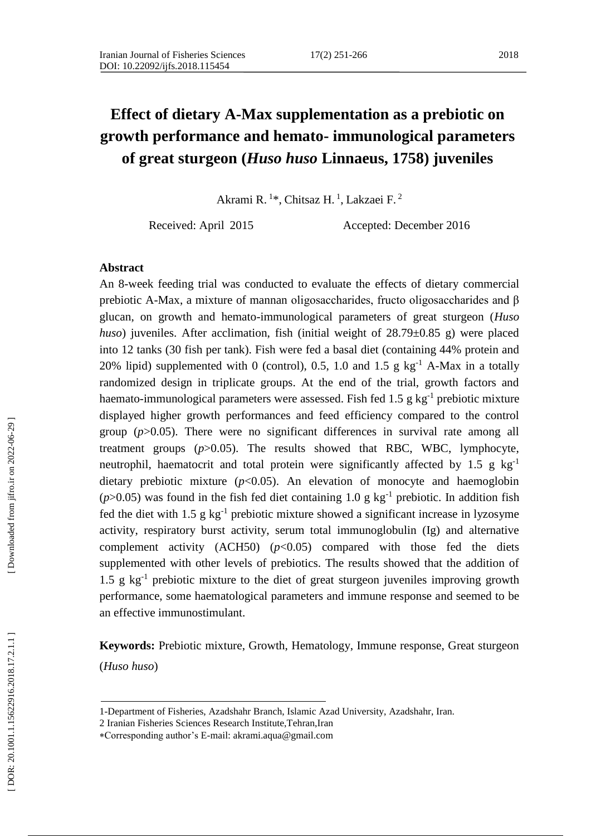# **Effect of dietary A -Max supplementation as a prebiotic on growth performance and hemato - immunological parameters of great sturgeon (***Huso huso* **Linnaeus, 1758) juveniles**

Akrami R.<sup>1\*</sup>, Chitsaz H.<sup>1</sup>, Lakzaei F.<sup>2</sup>

Received: April 2015 Accepted: December 2016

#### **Abstract**

An 8 -week feeding trial was conducted to evaluate the effects of dietary commercial prebiotic A -Max, a mixture of mannan oligosaccharides, fructo oligosaccharides and β glucan, on growth and hemato -immunological parameters of great sturgeon (*Huso huso*) juveniles. After acclimation, fish (initial weight of 28.79±0.85 g) were placed into 12 tanks (30 fish per tank). Fish were fed a basal diet (containing 44% protein and 20% lipid) supplemented with 0 (control), 0.5, 1.0 and 1.5 g  $kg^{-1}$  A-Max in a totally randomized design in triplicate groups. At the end of the trial, growth factors and haemato-immunological parameters were assessed. Fish fed 1.5 g kg<sup>-1</sup> prebiotic mixture displayed higher growth performances and feed efficiency compared to the control group (*p*>0.05 ). There were no significant differences in survival rate among all treatment groups (*p*>0.05). The results showed that RBC, WBC, lymphocyte, neutrophil, haematocrit and total protein were significantly affected by 1.5 g kg<sup>-1</sup> dietary prebiotic mixture ( $p$ <0.05). An elevation of monocyte and haemoglobin ( $p$ >0.05) was found in the fish fed diet containing 1.0 g kg<sup>-1</sup> prebiotic. In addition fish fed the diet with  $1.5 \text{ g kg}^{-1}$  prebiotic mixture showed a significant increase in lyzosyme activity, respiratory burst activity, serum total immunoglobulin (Ig) and alternative complement activity  $(ACH50)$   $(p<0.05)$  compared with those fed the diets supplemented with other levels of prebiotics. The results showed that the addition of 1.5 g kg - 1 prebiotic mixture to the diet of great sturgeon juveniles improving growth performance, some haematological parameters and immune response and seemed to be an effective immunostimulant.

**Keywords:** Prebiotic mixture, Growth, Hematology, Immune response, Great sturgeon (*Huso huso*)

<sup>1-</sup>Department of Fisheries, Azadshahr Branch, Islamic Azad University, Azadshahr, Iran.

<sup>2</sup> Iranian Fisheries Sciences Research Institute,Tehran,Iran

Corresponding author's E-mail: akrami.aqua@gmail.com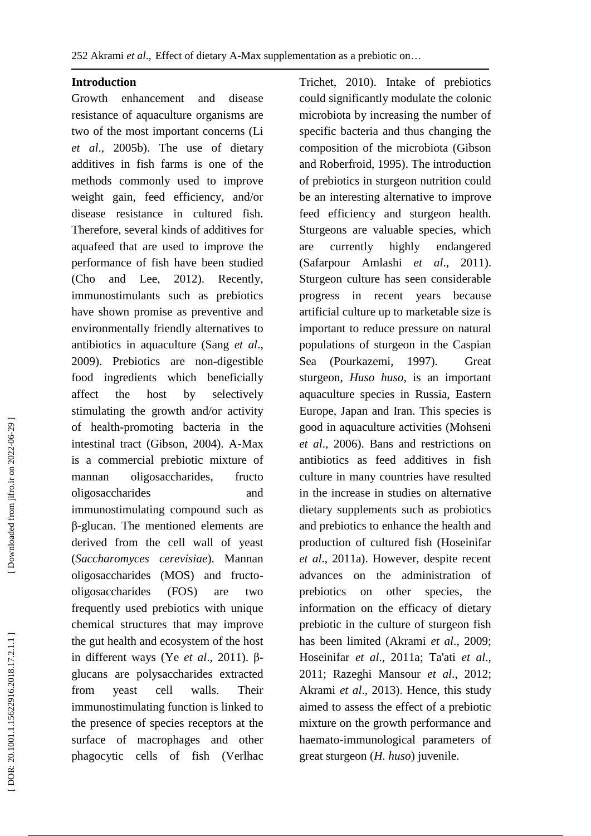#### **Introduction**

Growth enhancement and disease resistance of aquaculture organisms are two of the most important concerns (Li *et al*., 2005b). The use of dietary additives in fish farms is one of the methods commonly used to improve weight gain, feed efficiency, and/or disease resistance in cultured fish. Therefore, several kinds of additives for aquafeed that are used to improve the performance of fish have been studied (Cho and Lee, 2012). Recently, immunostimulants such as prebiotics have shown promise as preventive and environmentally friendly alternatives to antibiotics in aquaculture (Sang *et al*., 2009). Prebiotics are non -digestible food ingredients which beneficially affect the host by selectively stimulating the growth and/or activity of health -promoting bacteria in the intestinal tract (Gibson, 2004). A -Max is a commercial prebiotic mixture of mannan oligosaccharides, fructo oligosaccharides and immunostimulating compound such as β-glucan. The mentioned elements are derived from the cell wall of yeast (*Saccharomyces cerevisiae*). Mannan oligosaccharides (MOS) and fructo oligosaccharides (FOS) are two frequently used prebiotics with unique chemical structures that may improve the gut health and ecosystem of the host in different ways (Ye *et al.*, 2011). βglucans are polysaccharides extracted from yeast cell walls. Their immunostimulating function is linked to the presence of species receptors at the surface of macrophages and other phagocytic cells of fish (Verlhac

Trichet, 2010). Intake of prebiotics could significantly modulate the colonic microbiota by increasing the number of specific bacteria and thus changing the composition of the microbiota (Gibson and Roberfroid, 1995). The introduction of prebiotics in sturgeon nutrition could be an interesting alternative to improve feed efficiency and sturgeon health. Sturgeons are valuable species, which are currently highly endangered (Safarpour Amlashi *et al*., 2011). Sturgeon culture has seen considerable progress in recent years because artificial culture up to marketable size is important to reduce pressure on natural populations of sturgeon in the Caspian Sea (Pourkazemi, 1997). Great sturgeon, *Huso huso*, is an important aquaculture species in Russia, Eastern Europe, Japan and Iran. This species is good in aquaculture activities (Mohseni *et al*., 2006). Bans and restrictions on antibiotics as feed additives in fish culture in many countries have resulted in the increase in studies on alternative dietary supplements such as probiotics and prebiotics to enhance the health and production of cultured fish (Hoseinifar *et al*., 2011a). However, despite recent advances on the administration of prebiotics on other species, the information on the efficacy of dietary prebiotic in the culture of sturgeon fish has been limited (Akrami *et al*., 2009; Hoseinifar *et al*., 2011 a; Ta'ati *et al*., 2011; Razeghi Mansour *et al*., 2012; Akrami *et al*., 2013). Hence, this study aimed to assess the effect of a prebiotic mixture on the growth performance and haemato -immunological parameters of great sturgeon (*H. huso*) juvenile.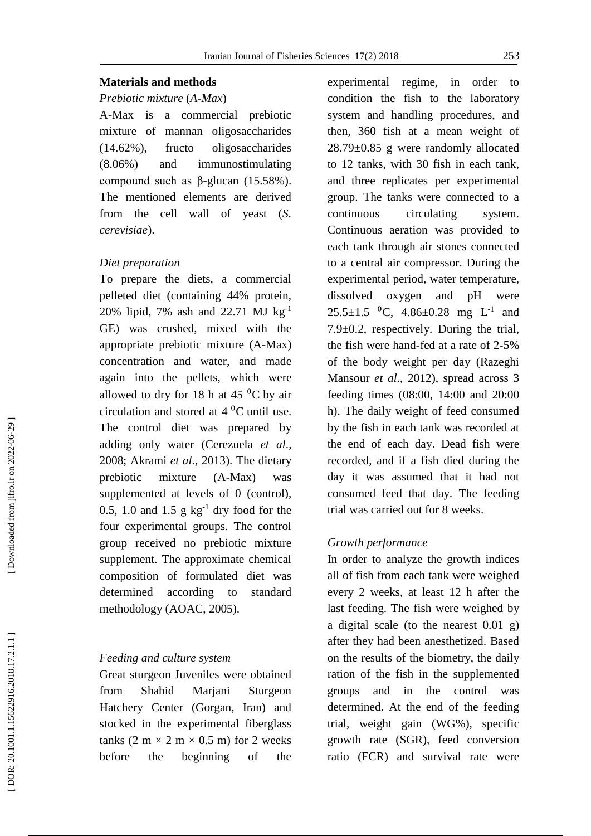#### Iranian Journal of Fisheries Sciences 17( 2) 2018 253

#### *Prebiotic mixture*  (*A -Max* )

A-Max is a commercial prebiotic mixture of mannan oligosaccharides (14.62%), fructo oligosaccharides (8.06%) and immunostimulating compound such as β -glucan (15.58%). The mentioned elements are derived from the cell wall of yeast (*S. cerevisiae*).

#### *Diet preparation*

To prepare the diets, a commercial pelleted diet (containing 44% protein, 20% lipid, 7% ash and 22.71 MJ kg - 1 GE) was crushed, mixed with the appropriate prebiotic mixture (A -Max) concentration and water, and made again into the pellets, which were allowed to dry for 18 h at 45 $\mathrm{^{0}C}$  by air circulation and stored at  $4^{\circ}$ C until use. The control diet was prepared by adding only water (Cerezuela *et al*., 2008; Akrami *et al*., 2013). The dietary prebiotic mixture  $(A-Max)$  was supplemented at levels of 0 (control), 0.5, 1.0 and 1.5  $g kg^{-1}$  dry food for the four experimental groups. The control group received no prebiotic mixture supplement. The approximate chemical composition of formulated diet was determined according to standard methodology (AOAC, 2005).

#### *Feeding and culture system*

Great sturgeon Juveniles were obtained from Shahid Marjani Sturgeon Hatchery Center (Gorgan, Iran) and stocked in the experimental fiberglass tanks  $(2 \text{ m} \times 2 \text{ m} \times 0.5 \text{ m})$  for 2 weeks before the beginning of the experimental regime, in order to condition the fish to the laboratory system and handling procedures, and then, 360 fish at a mean weight of 28.79±0.85 g were randomly allocated to 12 tanks, with 30 fish in each tank, and three replicates per experimental group. The tanks were connected to a continuous circulating system. Continuous aeration was provided to each tank through air stones connected to a central air compressor. During the experimental period, water temperature, dissolved oxygen and pH were  $25.5 \pm 1.5$  <sup>o</sup>C,  $4.86 \pm 0.28$  mg L<sup>-1</sup> and 7.9±0.2, respectively. During the trial, the fish were hand -fed at a rate of 2 -5% of the body weight per day (Razeghi Mansour *et al*., 2012), spread across 3 feeding times (08:00, 14:00 and 20:00 h). The daily weight of feed consumed by the fish in each tank was recorded at the end of each day. Dead fish were recorded, and if a fish died during the day it was assumed that it had not consumed feed that day. The feeding trial was carried out for 8 weeks.

#### *Growth performance*

In order to analyze the growth indices all of fish from each tank were weighed every 2 weeks, at least 12 h after the last feeding. The fish were weighed by a digital scale (to the nearest 0.01 g) after they had been anesthetized. Based on the results of the biometry, the daily ration of the fish in the supplemented groups and in the control was determined. At the end of the feeding trial, weight gain (WG%), specific growth rate (SGR), feed conversion ratio (FCR) and survival rate were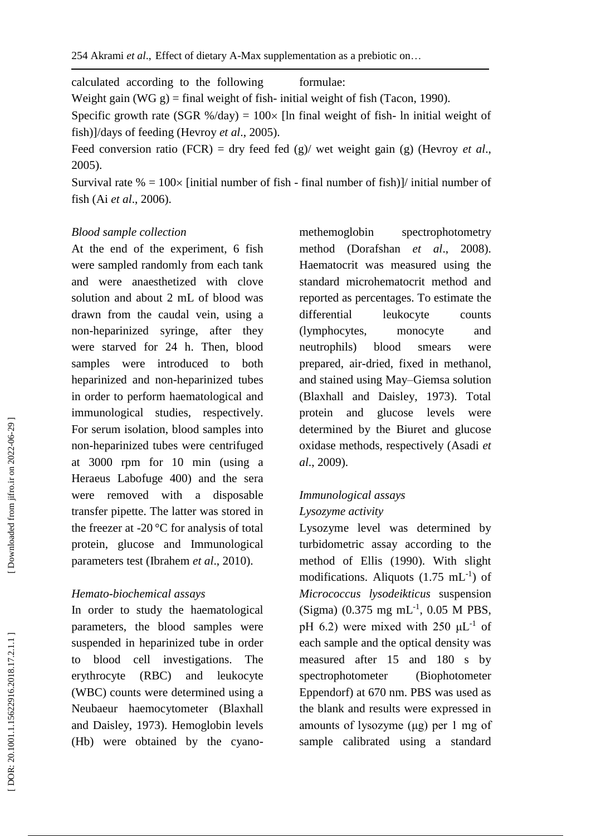calculated according to the following formulae:

Weight gain (WG g) = final weight of fish - initial weight of fish (Tacon, 1990).

Specific growth rate (SGR %/day) =  $100 \times$  [ln final weight of fish- ln initial weight of fish)]/days of feeding (Hevroy *et al*., 2005).

Feed conversion ratio (FCR) = dry feed fed (g)/ wet weight gain (g) (Hevroy *et al*., 2005).

Survival rate  $\% = 100 \times$  [initial number of fish - final number of fish)]/ initial number of fish (Ai *et al*., 2006).

#### *Blood sample collection*

At the end of the experiment, 6 fish were sampled randomly from each tank and were anaesthetized with clove solution and about 2 mL of blood was drawn from the caudal vein, using a non -heparinized syringe, after they were starved for 24 h. Then, blood samples were introduced to both heparinized and non -heparinized tubes in order to perform haematological and immunological studies, respectively. For serum isolation, blood samples into non -heparinized tubes were centrifuged at 3000 rpm for 10 min (using a Heraeus Labofuge 400) and the sera were removed with a disposable transfer pipette. The latter was stored in the freezer at -20 $\degree$ C for analysis of total protein, glucose and Immunological parameters test (Ibrahem *et al*., 2010).

## *Hemato -biochemical assays*

In order to study the haematological parameters, the blood samples were suspended in heparinized tube in order to blood cell investigations. The erythrocyte (RBC) and leukocyte (WBC) counts were determined using a Neubaeur haemocytometer (Blaxhall and Daisley, 1973). Hemoglobin levels (Hb) were obtained by the cyano -

methemoglobin spectrophotometry method (Dorafshan *et al*., 2008). Haematocrit was measured using the standard microhematocrit method and reported as percentages. To estimate the differential leukocyte counts (lymphocytes, monocyte and neutrophils) blood smears were prepared, air -dried, fixed in methanol, and stained using May –Giemsa solution (Blaxhall and Daisley, 1973). Total protein and glucose levels were determined by the Biuret and glucose oxidase methods, respectively (Asadi *et al*., 2009).

# *Immunological assays Lysozyme activity*

Lysozyme level was determined by turbidometric assay according to the method of Ellis (1990). With slight modifications. Aliquots  $(1.75 \text{ mL}^{-1})$  of *Micrococcus lysodeikticus* suspension  $(Sigma)$  (0.375 mg mL<sup>-1</sup>, 0.05 M PBS, pH 6.2) were mixed with 250  $\mu$ L<sup>-1</sup> of each sample and the optical density was measured after 15 and 180 s by spectrophotometer (Biophotometer Eppendorf) at 670 nm. PBS was used as the blank and results were expressed in amounts of lysozyme (μg) per 1 mg of sample calibrated using a standard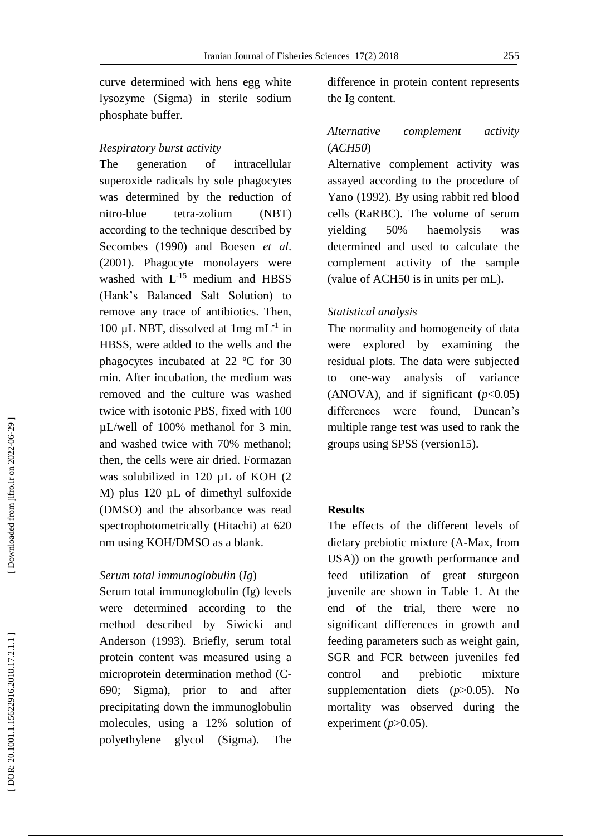curve determined with hens egg white lysozyme (Sigma) in sterile sodium phosphate buffer.

#### *Respiratory burst activity*

The generation of intracellular superoxide radicals by sole phagocytes was determined by the reduction of nitro -blue tetra tetra-zolium (NBT) according to the technique described by Secombes (1990) and Boesen *et al*. (2001). Phagocyte monolayers were washed with  $L^{-15}$  medium and HBSS (Hank's Balanced Salt Solution) to remove any trace of antibiotics. Then, 100 µL NBT, dissolved at  $1mg$  mL<sup>-1</sup> in HBSS, were added to the wells and the phagocytes incubated at 22 ºC for 30 min. After incubation, the medium was removed and the culture was washed twice with isotonic PBS, fixed with 100  $\mu$ L/well of 100% methanol for 3 min, and washed twice with 70% methanol; then, the cells were air dried. Formazan was solubilized in 120 µ L of KOH (2 M) plus 120 µL of dimethyl sulfoxide (DMSO) and the absorbance was read spectrophotometrically (Hitachi) at 620 nm using KOH/DMSO as a blank.

## *Serum total immunoglobulin*  (*Ig* )

Serum total immunoglobulin (Ig) levels were determined according to the method described by Siwicki and Anderson (1993). Briefly, serum total protein content was measured using a microprotein determination method (C - 690; Sigma), prior to and after precipitating down the immunoglobulin molecules, using a 12% solution of polyethylene glycol (Sigma). The difference in protein content represents the Ig content.

## *Alternative complement activity* (*ACH50*)

Alternative complement activity was assayed according to the procedure of Yano (1992). By using rabbit red blood cells (RaRBC). The volume of serum yielding 50% haemolysis was determined and used to calculate the complement activity of the sample (value of ACH50 is in units per mL).

## *Statistical analysis*

The normality and homogeneity of data were explored by examining the residual plots. The data were subjected to one -way analysis of variance (ANOVA), and if significant  $(p<0.05)$ differences were found, Duncan's multiple range test was used to rank the groups using SPSS (version15).

#### **Results**

The effects of the different levels of dietary prebiotic mixture (A -Max, from USA)) on the growth performance and feed utilization of great sturgeon juvenile are shown in Table 1. At the end of the trial, there were no significant differences in growth and feeding parameters such as weight gain, SGR and FCR between juveniles fed control and prebiotic mixture supplementation diets (*p*>0.05). No mortality was observed during the experiment  $(p>0.05)$ .

Downloaded from jifro.ir on 2022-06-29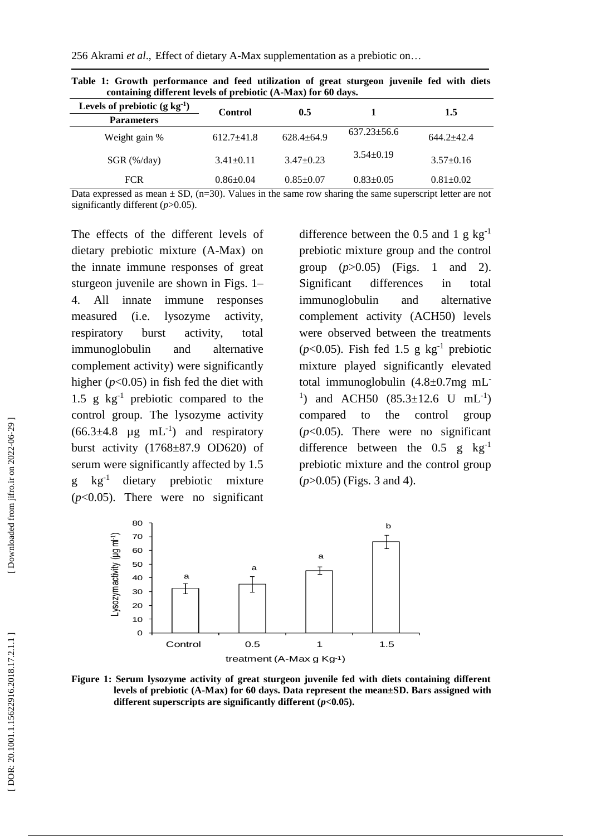256 Akrami *et al*., Effect of dietary A -Max supplementation as a prebiotic on …

| containing different levels of prebiotic (A-Max) for 60 days. |                 |                 |                   |                 |  |  |
|---------------------------------------------------------------|-----------------|-----------------|-------------------|-----------------|--|--|
| Levels of prebiotic $(g \log^{-1})$                           | Control         | 0.5             |                   | 1.5             |  |  |
| <b>Parameters</b>                                             |                 |                 |                   |                 |  |  |
| Weight gain %                                                 | $612.7 + 41.8$  | $628.4 + 64.9$  | $637.23 \pm 56.6$ | $644.2 + 42.4$  |  |  |
| $SGR$ (%/day)                                                 | $3.41 \pm 0.11$ | $3.47\pm0.23$   | $3.54 \pm 0.19$   | $3.57 \pm 0.16$ |  |  |
| <b>FCR</b>                                                    | $0.86 \pm 0.04$ | $0.85 \pm 0.07$ | $0.83 \pm 0.05$   | $0.81 \pm 0.02$ |  |  |

**Table 1: Growth performance and feed utilization of great sturgeon juvenile fed with diets containing different levels of prebiotic (A -Max) for 60 days.**

Data expressed as mean  $\pm$  SD, (n=30). Values in the same row sharing the same superscript letter are not significantly different ( $p$ >0.05).

The effects of the different levels of dietary prebiotic mixture (A -Max) on the innate immune responses of great sturgeon juvenile are shown in Figs. 1 – 4. All innate immune responses measured (i.e. lysozyme activity, respiratory burst activity, total immunoglobulin and alternative complement activity) were significantly higher ( $p<0.05$ ) in fish fed the diet with 1.5  $g \text{ kg}^{-1}$  prebiotic compared to the control group. The lysozyme activity  $(66.3\pm4.8 \text{ µg} \text{ mL}^{-1})$  and respiratory burst activity (1768±87.9 OD620) of serum were significantly affected by 1.5 g kg -1 dietary prebiotic mixture (*p*<0.05). There were no significant

difference between the 0.5 and 1  $g kg^{-1}$ prebiotic mixture group and the control group  $(p>0.05)$  (Figs. 1 and 2). Significant differences in total immunoglobulin and alternative complement activity (ACH50) levels were observed between the treatments  $(p<0.05)$ . Fish fed 1.5 g kg<sup>-1</sup> prebiotic mixture played significantly elevated total immunoglobulin (4.8±0.7mg mL - <sup>1</sup>) and ACH50  $(85.3 \pm 12.6 \text{ U} \text{ mL}^{-1})$ compared to the control group  $(p<0.05)$ . There were no significant difference between the  $0.5$  g kg<sup>-1</sup> prebiotic mixture and the control group (*p*>0.05) (Figs. 3 and 4).



**Figure 1 : Serum lysozyme activity of great sturgeon juvenile fed with diets containing different levels of prebiotic (A -Max) for 60 days. Data represent the mean±SD. Bars assigned with**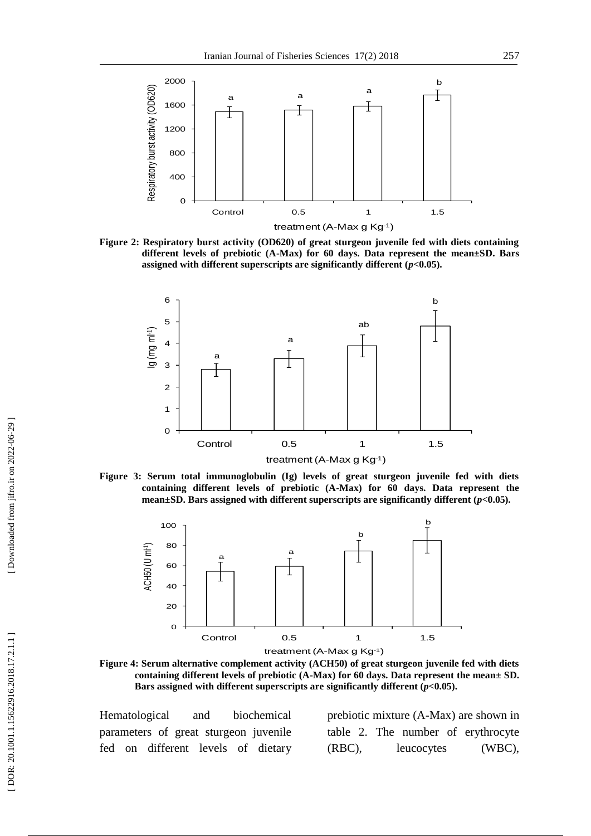

**Figure 2 : Respiratory burst activity (OD620) of great sturgeon juvenile fed with diets containing different levels of prebiotic (A -Max) for 60 days. Data represent the mean±SD. Bars assigned with different superscripts are significantly different (***p***<0.05).**



**Figure 3 : Serum total immunoglobulin (Ig) levels of great sturgeon juvenile fed with diets containing different levels of prebiotic (A -Max) for 60 days. Data represent the mean±SD. Bars assigned with different superscripts are significantly different (***p***<0.05).**



**Figure 4 : Serum alternative complement activity (ACH50) of great sturgeon juvenile fed with diets containing different levels of prebiotic (A -Max) for 60 days. Data represent the mean± SD. Bars assigned with different superscripts are significantly different (***p***<0.05).**

Hematological and biochemical parameters of great sturgeon juvenile fed on different levels of dietary

prebiotic mixture (A -Max) are shown in table 2. The number of erythrocyte (RBC), leucocytes (WBC),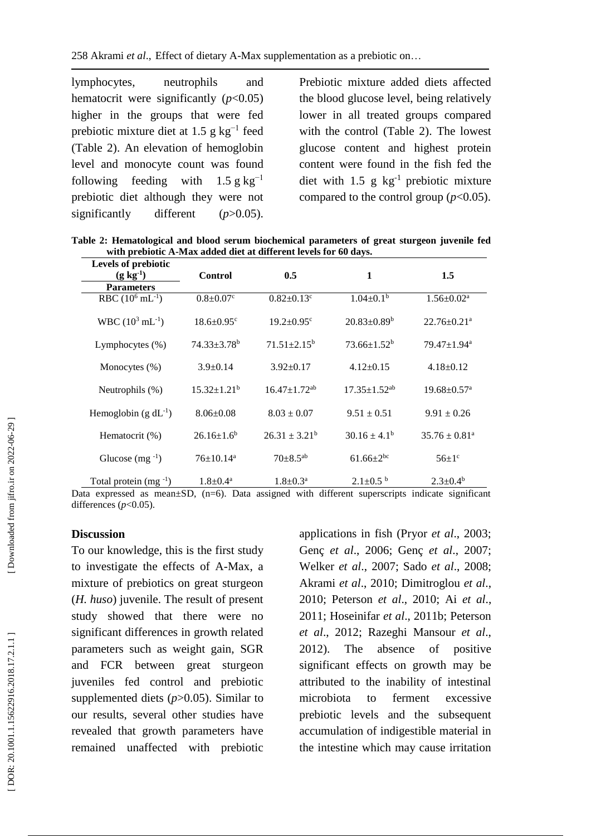lymphocytes, neutrophils and hematocrit were significantly  $(p<0.05)$ higher in the groups that were fed prebiotic mixture diet at 1.5 g  $kg^{-1}$  feed (Table 2). An elevation of hemoglobin level and monocyte count was found following feeding with  $1.5 \text{ g kg}^{-1}$ prebiotic diet although they were not significantly different (*p*>0.05).

Prebiotic mixture added diets affected the blood glucose level, being relatively lower in all treated groups compared with the control (Table 2). The lowest glucose content and highest protein content were found in the fish fed the diet with  $1.5$  g  $kg^{-1}$  prebiotic mixture compared to the control group  $(p<0.05)$ .

**Table 2: Hematological and blood serum biochemical parameters of great sturgeon juvenile fed with prebiotic A -Max added diet at different levels for 60 days.**

| Levels of prebiotic          |                              |                                |                              |                               |
|------------------------------|------------------------------|--------------------------------|------------------------------|-------------------------------|
| $(g \, kg^{-1})$             | <b>Control</b>               | 0.5                            | 1                            | 1.5                           |
| <b>Parameters</b>            |                              |                                |                              |                               |
| RBC $(10^6 \text{ mL}^{-1})$ | $0.8 \pm 0.07$ <sup>c</sup>  | $0.82 \pm 0.13$ <sup>c</sup>   | $1.04 \pm 0.1^b$             | $1.56 \pm 0.02^a$             |
| WBC $(10^3 \text{ mL}^{-1})$ | $18.6 \pm 0.95$ <sup>c</sup> | $19.2 \pm 0.95$ <sup>c</sup>   | $20.83 \pm 0.89^b$           | $22.76 \pm 0.21$ <sup>a</sup> |
| Lymphocytes $(\% )$          | $74.33 + 3.78$ <sup>b</sup>  | $71.51 + 2.15^b$               | $73.66 + 1.52^b$             | $79.47 \pm 1.94$ <sup>a</sup> |
| Monocytes $(\%)$             | $3.9 \pm 0.14$               | $3.92 \pm 0.17$                | $4.12 \pm 0.15$              | $4.18+0.12$                   |
| Neutrophils (%)              | $15.32 + 1.21^b$             | $16.47 \pm 1.72$ <sup>ab</sup> | $17.35 + 1.52$ <sup>ab</sup> | $19.68 \pm 0.57$ <sup>a</sup> |
| Hemoglobin $(g dL^{-1})$     | $8.06 \pm 0.08$              | $8.03 \pm 0.07$                | $9.51 \pm 0.51$              | $9.91 \pm 0.26$               |
| Hematocrit (%)               | $26.16 + 1.6^b$              | $26.31 + 3.21^b$               | $30.16 + 4.1b$               | $35.76 \pm 0.81^{\circ}$      |
| Glucose $(mg^{-1})$          | $76 \pm 10.14$ <sup>a</sup>  | $70+8.5^{ab}$                  | $61.66 \pm 2^{bc}$           | $56 \pm 1$ <sup>c</sup>       |
| Total protein $(mg^{-1})$    | $1.8 + 0.4^a$                | $1.8 \pm 0.3^{\rm a}$          | $2.1 \pm 0.5^{b}$            | $2.3+0.4^b$                   |

Data expressed as mean±SD, (n=6). Data assigned with different superscripts indicate significant differences  $(p<0.05)$ .

#### **Discussion**

To our knowledge, this is the first study to investigate the effects of A -Max, a mixture of prebiotics on great sturgeon (*H. huso*) juvenile. The result of present study showed that there were no significant differences in growth related parameters such as weight gain, SGR and FCR between great sturgeon juveniles fed control and prebiotic supplemented diets (*p*>0.05). Similar to our results, several other studies have revealed that growth parameters have remained unaffected with prebiotic

applications in fish (Pryor *et al*., 2003 ; Genç *et al*., 2006 ; Genç *et al*., 2007 ; Welker *et al*., 2007 ; Sado *et al*., 2008 ; Akrami *et al*., 2010 ; Dimitroglou *et al*., 2010 ; Peterson *et al*., 2010 ; Ai *et al*., 2011 ; Hoseinifar *et al*., 2011b; Peterson *et al*., 2012 ; Razeghi Mansour *et al*., 2012). The absence of positive significant effects on growth may be attributed to the inability of intestinal microbiota to ferment excessive prebiotic levels and the subsequent accumulation of indigestible material in the intestine which may cause irritation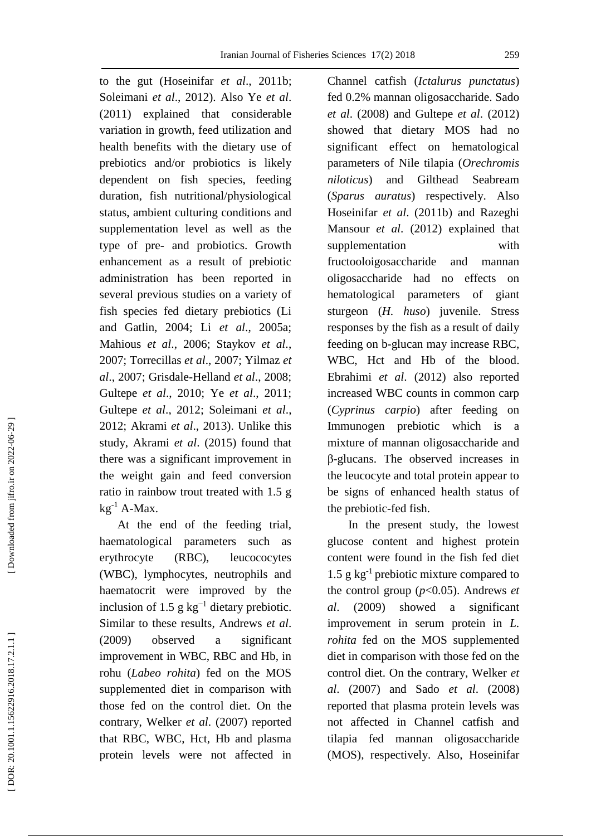to the gut (Hoseinifar *et al*., 2011b; Soleimani *et al*., 2012). Also Ye *et al*. (2011) explained that considerable variation in growth, feed utilization and health benefits with the dietary use of prebiotics and/or probiotics is likely dependent on fish species, feeding duration, fish nutritional/physiological status, ambient culturing conditions and supplementation level as well as the type of pre - and probiotics. Growth enhancement as a result of prebiotic administration has been reported in several previous studies on a variety of fish species fed dietary prebiotics (Li and Gatlin, 2004 ; Li *et al*., 2005a; Mahious *et al*., 2006 ; Staykov *et al*., 2007 ; Torrecillas *et al*., 2007 ; Yilmaz *et al*., 2007 ; Grisdale -Helland *et al*., 2008 ; Gultepe *et al*., 2010; Ye *et al*., 2011; Gultepe *et al*., 2012 ; Soleimani *et al*., 2012; Akrami *et al*., 2013). Unlike this study, Akrami *et al*. (2015) found that there was a significant improvement in the weight gain and feed conversion ratio in rainbow trout treated with 1.5 g  $kg^{-1}$  A-Max.

 At the end of the feeding trial, haematological parameters such as erythrocyte (RBC), leucococytes (WBC), lymphocytes, neutrophils and haematocrit were improved by the inclusion of 1.5 g  $kg^{-1}$  dietary prebiotic. Similar to these results, Andrews *et al*. (2009) observed a significant improvement in WBC, RBC and Hb, in rohu (*Labeo rohita*) fed on the MOS supplemented diet in comparison with those fed on the control diet. On the contrary, Welker *et al*. (2007) reported that RBC, WBC, Hct, Hb and plasma protein levels were not affected in Channel catfish (*Ictalurus punctatus*) fed 0.2% mannan oligosaccharide. Sado *et al*. (2008) and Gultepe *et al*. (2012) showed that dietary MOS had no significant effect on hematological parameters of Nile tilapia (*Orechromis niloticus*) and Gilthead Seabream (*Sparus auratus*) respectively. Also Hoseinifar *et al*. (2011b) and Razeghi Mansour *et al*. (2012) explained that supplementation with fructooloigosaccharide and mannan oligosaccharide had no effects on hematological parameters of giant sturgeon (*H. huso*) juvenile. Stress responses by the fish as a result of daily feeding on b -glucan may increase RBC, WBC, Hct and Hb of the blood. Ebrahimi *et al*. (2012) also reported increased WBC counts in common carp (*Cyprinus carpio*) after feeding on Immunogen prebiotic which is a mixture of mannan oligosaccharide and β-glucans. The observed increases in the leucocyte and total protein appear to be signs of enhanced health status of the prebiotic -fed fish.

 In the present study, the lowest glucose content and highest protein content were found in the fish fed diet 1.5 g kg -1 prebiotic mixture compared to the control group (*p*<0.05). Andrews *et al*. (2009) showed a significant improvement in serum protein in *L. rohita* fed on the MOS supplemented diet in comparison with those fed on the control diet. On the contrary, Welker *et al*. (2007) and Sado *et al*. (2008) reported that plasma protein levels was not affected in Channel catfish and tilapia fed mannan oligosaccharide (MOS), respectively. Also, Hoseinifar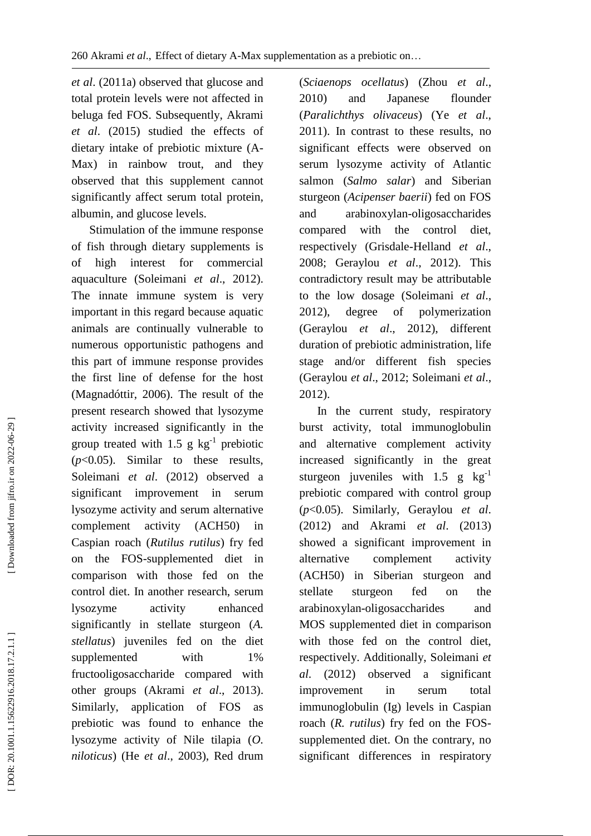*et al*. (2011a) observed that glucose and total protein levels were not affected in beluga fed FOS. Subsequently, Akrami *et al*. (2015) studied the effects of dietary intake of prebiotic mixture (A - Max) in rainbow trout, and they observed that this supplement cannot significantly affect serum total protein, albumin, and glucose levels.

 Stimulation of the immune response of fish through dietary supplements is of high interest for commercial aquaculture (Soleimani *et al*., 2012). The innate immune system is very important in this regard because aquatic animals are continually vulnerable to numerous opportunistic pathogens and this part of immune response provides the first line of defense for the host (Magnadóttir, 2006). The result of the present research showed that lysozyme activity increased significantly in the group treated with  $1.5$  g kg<sup>-1</sup> prebiotic (*p*<0.05). Similar to these results, Soleimani *et al*. (2012) observed a significant improvement in serum lysozyme activity and serum alternative complement activity (ACH50) in Caspian roach (*Rutilus rutilus*) fry fed on the FOS -supplemented diet in comparison with those fed on the control diet. In another research, serum lysozyme activity enhanced significantly in stellate sturgeon (*A. stellatus*) juveniles fed on the diet supplemented with 1% fructooligosaccharide compared with other groups (Akrami *et al*., 2013) . Similarly, application of FOS as prebiotic was found to enhance the lysozyme activity of Nile tilapia (*O. niloticus*) (He *et al* ., 2003), Red drum

(*Sciaenops ocellatus* ) (Zhou *et al*., 2010) and Japanese flounder (*Paralichthys olivaceus*) (Ye *et al*., 2011). In contrast to these results, no significant effects were observed on serum lysozyme activity of Atlantic salmon (*Salmo salar*) and Siberian sturgeon (*Acipenser baerii*) fed on FOS and arabinoxylan -oligosaccharides compared with the control diet, respectively (Grisdale -Helland *et al*., 2008; Geraylou *et al*., 2012). This contradictory result may be attributable to the low dosage (Soleimani *et al*., 2012), degree of polymerization (Geraylou *et al*., 2012), different duration of prebiotic administration, life stage and/or different fish species (Geraylou *et al*., 2012; Soleimani *et al*., 2012).

 In the current study, respiratory burst activity, total immunoglobulin and alternative complement activity increased significantly in the great sturgeon juveniles with  $1.5$  g  $\text{kg}^{-1}$ prebiotic compared with control group (*p*<0.05). Similarly, Geraylou *et al*. (2012) and Akrami *et al*. (2013) showed a significant improvement in alternative complement activity (ACH50) in Siberian sturgeon and stellate sturgeon fed on the arabinoxylan -oligosaccharides and MOS supplemented diet in comparison with those fed on the control diet, respectively. Additionally, Soleimani *et al*. (2012) observed a significant improvement in serum total immunoglobulin (Ig) levels in Caspian roach (*R. rutilus*) fry fed on the FOS supplemented diet. On the contrary, no significant differences in respiratory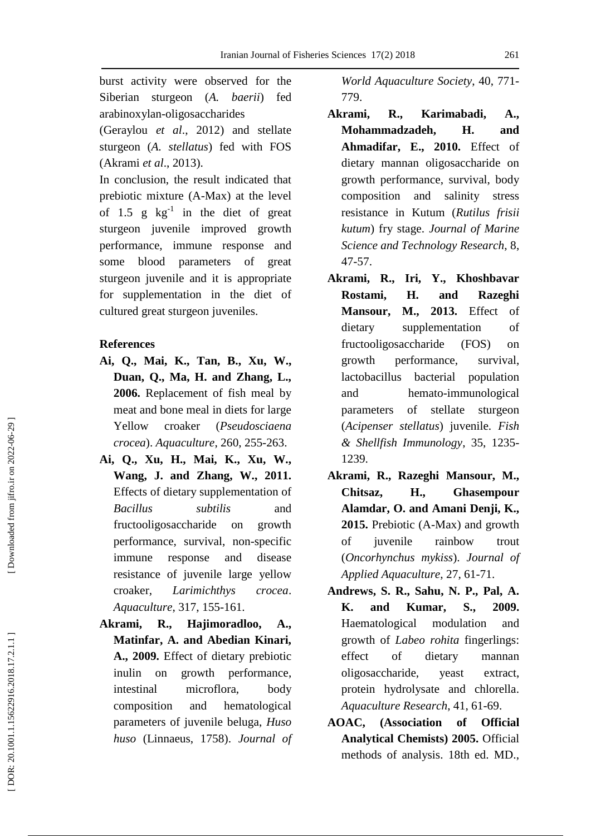burst activity were observed for the Siberian sturgeon (*A. baerii*) fed arabinoxylan -oligosaccharides

(Geraylou *et al*., 2012) and stellate sturgeon (*A. stellatus*) fed with FOS (Akrami *et al*., 2013).

In conclusion, the result indicated that prebiotic mixture (A -Max) at the level of 1.5 g  $kg^{-1}$  in the diet of great sturgeon juvenile improved growth performance, immune response and some blood parameters of great sturgeon juvenile and it is appropriate for supplementation in the diet of cultured great sturgeon juveniles.

#### **References**

- **Ai, Q., Mai, K., Tan, B., Xu, W., Duan, Q., Ma, H. and Zhang, L., 2006.** Replacement of fish meal by meat and bone meal in diets for large Yellow croaker (*Pseudosciaena crocea*). *Aquaculture*, 260, 255 -263.
- **Ai, Q., Xu, H., Mai, K., Xu, W., Wang, J. and Zhang, W., 2011.**  Effects of dietary supplementation of *Bacillus subtilis* and fructooligosaccharide on growth performance, survival, non -specific immune response and disease resistance of juvenile large yellow croaker, *Larimichthys crocea*. *Aquaculture*, 317, 155 -161.
- **Akrami, R., Hajimoradloo, A., Matinfar, A. and Abedian Kinari, A., 2009.** Effect of dietary prebiotic inulin on growth performance, intestinal microflora, body composition and hematological parameters of juvenile beluga, *Huso huso* (Linnaeus, 1758). *Journal of*

*World Aquaculture Society*, 40, 771 - 779.

- **Akrami, R., Karimabadi, A., Mohammadzadeh, H. and Ahmadifar, E., 2010.** Effect of dietary mannan oligosaccharide on growth performance, survival, body composition and salinity stress resistance in Kutum (*Rutilus frisii kutum*) fry stage. *Journal of Marine Science and Technology Research*, 8, 47 -57.
- **Akrami, R., Iri, Y., Khoshbavar Rostami, H. and Razeghi Mansour, M., 2013.** Effect of dietary supplementation of fructooligosaccharide (FOS) on growth performance, survival, lactobacillus bacterial population and hemato -immunological parameters of stellate sturgeon (*Acipenser stellatus*) juvenile. *Fish & Shellfish Immunology*, 35, 1235 - 1239.
- **Akrami, R., Razeghi Mansour, M., Chitsaz, H., Ghasempour Alamdar, O. and Amani Denji, K.,**  2015. Prebiotic (A-Max) and growth of juvenile rainbow trout (*Oncorhynchus mykiss*). *Journal of Applied Aquaculture*, 27, 61 -71.
- **Andrews, S. R., Sahu, N. P., Pal, A. K. and Kumar, S., 2009.** Haematological modulation and growth of *Labeo rohita* fingerlings: effect of dietary mannan oligosaccharide, yeast extract, protein hydrolysate and chlorella. *Aquaculture Research*, 41, 61 -69.
- **AOAC, (Association of Official Analytical Chemists) 2005.** Official methods of analysis. 18th ed. MD.,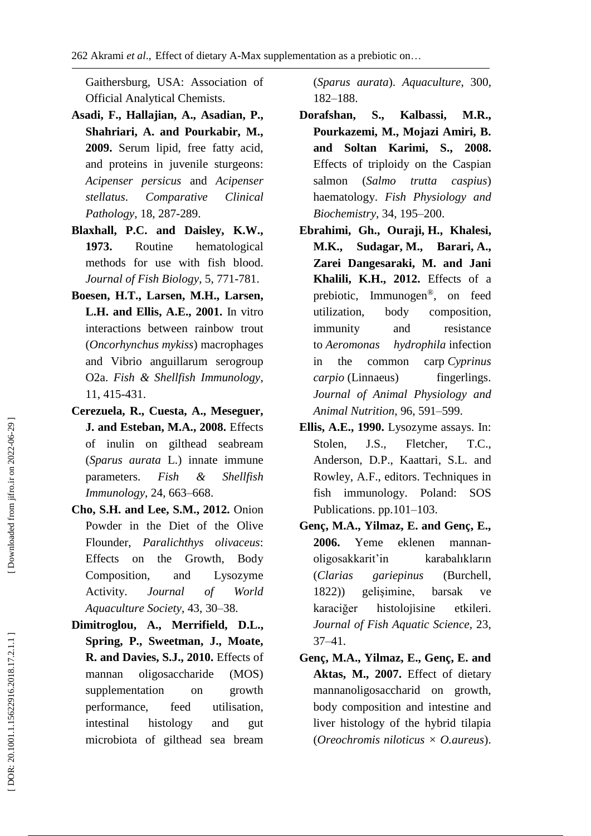Gaithersburg, USA: Association of Official Analytical Chemists.

- **Asadi, F., Hallajian, A., Asadian, P., Shahriari, A. and Pourkabir, M., 2009.** Serum lipid, free fatty acid, and proteins in juvenile sturgeons: *Acipenser persicus* and *Acipenser stellatus*. *Comparative Clinical Pathology*, 18, 287 -289.
- **Blaxhall, P.C. and Daisley, K.W., 1973.** Routine hematological methods for use with fish blood. *Journal of Fish Biology*, 5, 771 -781.
- **Boesen, H.T., Larsen, M.H., Larsen, L.H. and Ellis, A.E., 2001.** In vitro interactions between rainbow trout (*Oncorhynchus mykiss*) macrophages and Vibrio anguillarum serogroup O2a. *Fish & Shellfish Immunology*, 11, 415 -431.
- **Cerezuela, R., Cuesta, A., Meseguer, J. and Esteban, M.A., 2008.** Effects of inulin on gilthead seabream (*Sparus aurata* L.) innate immune parameters. *Fish & Shellfish Immunology*, 24, 663 –668.
- **Cho, S.H. and Lee, S.M., 2012.** Onion Powder in the Diet of the Olive Flounder, *Paralichthys olivaceus*: Effects on the Growth, Body Composition, and Lysozyme Activity. *Journal of World Aquaculture Society*, 43, 30 –38.
- **Dimitroglou, A., Merrifield, D.L., Spring, P., Sweetman, J., Moate, R. and Davies, S.J., 2010.** Effects of mannan oligosaccharide (MOS) supplementation on growth performance, feed utilisation, intestinal histology and gut microbiota of gilthead sea bream

(*Sparus aurata*). *Aquaculture*, 300, 182 –188.

- **Dorafshan, S., Kalbassi, M.R., Pourkazemi, M., Mojazi Amiri, B. and Soltan Karimi, S., 2008.** Effects of triploidy on the Caspian salmon (*Salmo trutta caspius*) haematology. *Fish Physiology and Biochemistry*, 34, 195 –200 .
- **Ebrahimi, Gh., Ouraji, H., Khalesi, M.K., Sudagar, M., Barari, A., Zarei Dangesaraki, M. and Jani Khalili, K.H., 2012.** Effects of a prebiotic, Immunogen ®, on feed utilization, body composition, immunity and resistance to *Aeromonas hydrophila* infection in the common carp *Cyprinus carpio* (Linnaeus) fingerlings. *Journal of Animal Physiology and Animal Nutrition*, 96, 591 –599.
- **Ellis, A.E., 1990.** Lysozyme assays. In: Stolen , J . S ., Fletcher , T . C ., Anderson, D.P., Kaattari, S.L. and Rowley , A . F ., editors. Techniques in fish immunology. Poland: SOS Publications. pp.101-103.
- **Genç, M.A., Yilmaz, E. and Genç, E., 2006.** Yeme eklenen mannan oligosakkarit'in karabalıkların (*Clarias gariepinus* (Burchell, 1822)) gelişimine, barsak ve karaciğer histolojisine etkileri. *Journal of Fish Aquatic Science*, 23, 37 –41.
- **Genç, M.A., Yilmaz, E., Genç, E. and Aktas, M., 2007.** Effect of dietary mannanoligosaccharid on growth, body composition and intestine and liver histology of the hybrid tilapia (*Oreochromis niloticus × O.aureus*).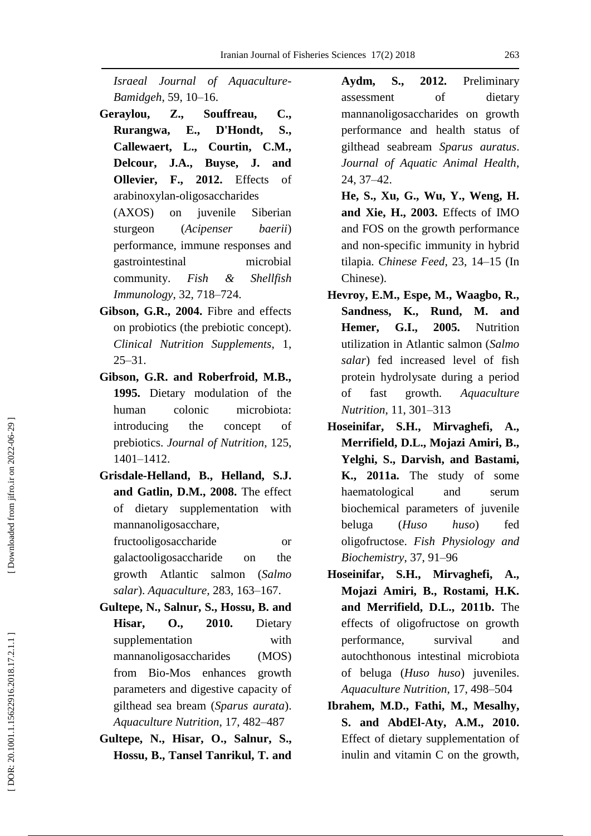*Israeal Journal of Aquaculture - Bamidgeh*, 59, 10 –16.

- **Geraylou, Z., Souffreau, C., Rurangwa, E., D'Hondt, S., Callewaert, L., Courtin, C.M., Delcour, J.A., Buyse, J. and Ollevier, F., 2012.** Effects of arabinoxylan -oligosaccharides (AXOS) on juvenile Siberian sturgeon (*Acipenser baerii*) performance, immune responses and gastrointestinal microbial community. *Fish & Shellfish Immunology*, 32, 718 –724.
- **Gibson, G.R., 2004.** Fibre and effects on probiotics (the prebiotic concept). *Clinical Nutrition Supplements*, 1, 25 –31.
- **Gibson, G.R. and Roberfroid, M.B., 1995.** Dietary modulation of the human colonic microbiota: introducing the concept of prebiotics. *Journal of Nutrition*, 125, 1401 –1412.
- **Grisdale -Helland, B., Helland, S.J. and Gatlin, D.M., 2008.** The effect of dietary supplementation with mannanoligosacchare,

fructooligosaccharide or galactooligosaccharide on the growth Atlantic salmon (*Salmo salar*). *Aquaculture ,* 283, 163 –167.

- **Gultepe, N., Salnur, S., Hossu, B. and Hisar, O., 2010.** Dietary supplementation with mannanoligosaccharides (MOS) from Bio -Mos enhances growth parameters and digestive capacity of gilthead sea bream (*Sparus aurata*). *Aquaculture Nutrition*, 17, 482 –487
- **Gultepe, N., Hisar, O., Salnur, S., Hossu, B., Tansel Tanrikul, T. and**

**Aydm, S., 2012.** Preliminary assessment of dietary mannanoligosaccharides on growth performance and health status of gilthead seabream *Sparus auratus*. *Journal of Aquatic Animal Health*, 24, 37 –42 .

- **He, S., Xu, G., Wu, Y., Weng, H. and Xie, H., 2003.** Effects of IMO and FOS on the growth performance and non -specific immunity in hybrid tilapia. *Chinese Feed*, 23, 14 –15 (In Chinese).
- **Hevroy, E.M., Espe, M., Waagbo, R., Sandness, K., Rund, M. and Hemer, G.I., 2005.** Nutrition utilization in Atlantic salmon (*Salmo salar*) fed increased level of fish protein hydrolysate during a period of fast growth. *Aquaculture Nutrition* , 11, 301 –313
- **Hoseinifar, S.H., Mirvaghefi, A., Merrifield, D.L., Mojazi Amiri, B., Yelghi, S. , Darvish , and Bastami, K., 2011a.** The study of some haematological and serum biochemical parameters of juvenile beluga (*Huso huso*) fed oligofructose. *Fish Physiology and Biochemistry*, 37, 91 –96
- **Hoseinifar, S.H., Mirvaghefi, A., Mojazi Amiri, B., Rostami, H.K. and Merrifield, D.L., 2011b.** The effects of oligofructose on growth performance, survival and autochthonous intestinal microbiota of beluga (*Huso huso*) juveniles. *Aquaculture Nutrition*, 17, 498 –504
- **Ibrahem, M.D., Fathi, M., Mesalhy, S. and AbdEl -Aty, A.M., 2010.** Effect of dietary supplementation of inulin and vitamin C on the growth,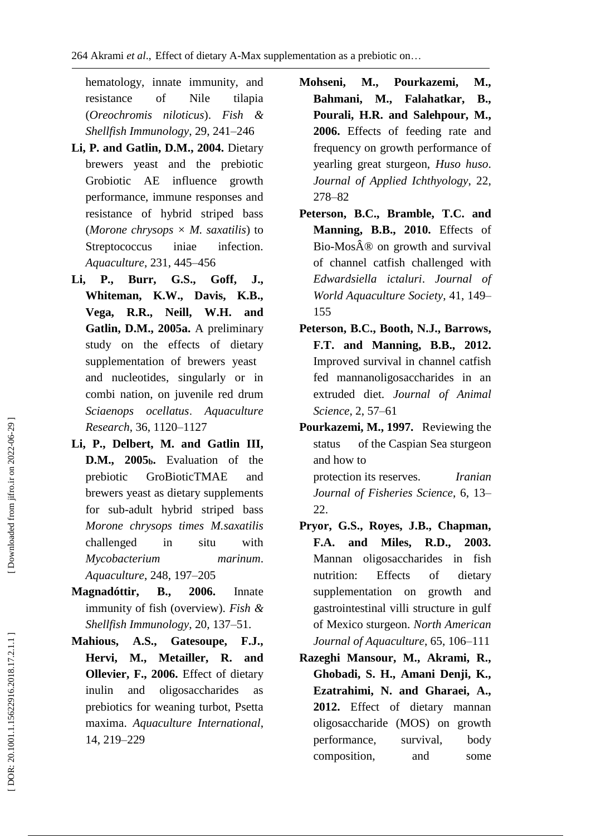hematology, innate immunity, and resistance of Nile tilapia (*Oreochromis niloticus*). *Fish & Shellfish Immunology*, 29, 241 –246

- **Li, P. and Gatlin, D.M., 2004.** Dietary brewers yeast and the prebiotic Grobiotic AE influence growth performance, immune responses and resistance of hybrid striped bass (*Morone chrysops × M. saxatilis*) to Streptococcus iniae infection. *Aquaculture*, 231, 445 –456
- **Li, P., Burr, G.S., Goff, J., Whiteman, K.W., Davis, K.B., Vega, R.R., Neill, W.H. and Gatlin, D.M., 2005a.** A preliminary study on the effects of dietary supplementation of brewers yeast and nucleotides, singularly or in combi nation, on juvenile red drum *Sciaenops ocellatus* . *Aquaculture Research*, 36, 1120 –1127
- **Li, P., Delbert, M. and Gatlin III, D.M., 2005 <sup>b</sup>.** Evaluation of the prebiotic GroBioticTMAE and brewers yeast as dietary supplements for sub -adult hybrid striped bass *Morone chrysops times M.saxatilis* challenged in situ with *Mycobacterium marinum*. *Aquaculture*, 248, 197 –205
- **Magnadóttir, B., 2006.** Innate immunity of fish (overview). *Fish & Shellfish Immunology*, 20, 137 –51.
- **Mahious, A.S., Gatesoupe, F.J., Hervi, M., Metailler, R. and Ollevier, F., 2006.** Effect of dietary inulin and oligosaccharides as prebiotics for weaning turbot, Psetta maxima. *Aquaculture International*, 14, 219 –229
- **Mohseni, M., Pourkazemi, M., Bahmani, M., Falahatkar, B., Pourali, H.R. and Salehpour, M., 2006.** Effects of feeding rate and frequency on growth performance of yearling great sturgeon, *Huso huso*. *Journal of Applied Ichthyology*, 22, 278 –82
- **Peterson, B.C., Bramble, T.C. and Manning, B.B., 2010.** Effects of Bio-Mos $\hat{A} \otimes$  on growth and survival of channel catfish challenged with *Edwardsiella ictaluri*. *Journal of World Aquaculture Society*, 41, 149 – 155
- **Peterson, B.C., Booth, N.J., Barrows, F.T. and Manning, B.B., 2012.**  Improved survival in channel catfish fed mannanoligosaccharides in an extruded diet. *Journal of Animal Science*, 2, 57 –61
- **Pourkazemi, M., 1997.** Reviewing the status of the Caspian Sea sturgeon and how to protection its reserves. *Iranian Journal of Fisheries Science*, 6, 13 – 22 .
- **Pryor, G.S., Royes, J.B., Chapman, F.A. and Miles, R.D., 2003.**  Mannan oligosaccharides in fish nutrition: Effects of dietary supplementation on growth and gastrointestinal villi structure in gulf of Mexico sturgeon. *North American Journal of Aquaculture*, 65, 106 –111
- **Razeghi Mansour, M., Akrami, R., Ghobadi, S. H., Amani Denji, K., Ezatrahimi, N. and Gharaei, A., 2012.** Effect of dietary mannan oligosaccharide (MOS) on growth performance, survival, body composition, and some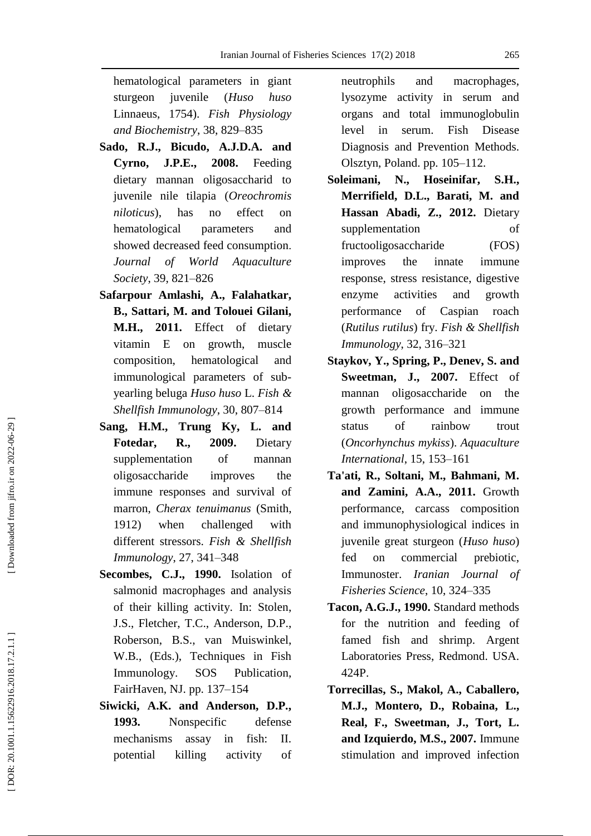hematological parameters in giant sturgeon juvenile (*Huso huso* Linnaeus, 1754). *Fish Physiology and Biochemistry*, 38, 829 –835

- **Sado, R.J., Bicudo, A.J.D.A. and Cyrno, J.P.E., 2008.** Feeding dietary mannan oligosaccharid to juvenile nile tilapia (*Oreochromis niloticus*), has no effect on hematological parameters and showed decreased feed consumption . *Journal of World Aquaculture Society*, 39, 821 –826
- **Safarpour Amlashi, A., Falahatkar, B., Sattari, M. and Tolouei Gilani, M.H., 2011.** Effect of dietary vitamin E on growth, muscle composition, hematological and immunological parameters of sub yearling beluga *Huso huso* L. *Fish & Shellfish Immunology*, 30, 807 –814
- **Sang, H.M., Trung Ky, L. and Fotedar, R., 2009.** Dietary supplementation of mannan oligosaccharide improves the immune responses and survival of marron, *Cherax tenuimanus* (Smith, 1912) when challenged with different stressors. *Fish & Shellfish Immunology*, 27, 341 –348
- **Secombes, C.J., 1990.** Isolation of salmonid macrophages and analysis of their killing activity. In: Stolen , J.S., Fletcher, T.C., Anderson, D.P., Roberson, B.S., van Muiswinkel, W . B., (Eds.), Techniques in Fish Immunology. SOS Publication, FairHaven, NJ. pp. 137–154
- **Siwicki, A.K. and Anderson, D.P., 1993.** Nonspecific defense mechanisms assay in fish: II. potential killing activity of

neutrophils and macrophages, lysozyme activity in serum and organs and total immunoglobulin level in serum. Fish Disease Diagnosis and Prevention Methods. Olsztyn, Poland. pp. 105-112.

- **Soleimani, N., Hoseinifar, S.H., Merrifield, D.L., Barati, M. and Hassan Abadi, Z., 2012.** Dietary supplementation of fructooligosaccharide (FOS) improves the innate immune response, stress resistance, digestive enzyme activities and growth performance of Caspian roach (*Rutilus rutilus*) fry. *Fish & Shellfish Immunology*, 32, 316 –321
- **Staykov, Y., Spring, P., Denev, S. and Sweetman, J., 2007.** Effect of mannan oligosaccharide on the growth performance and immune status of rainbow trout (*Oncorhynchus mykiss*). *Aquaculture International*, 15, 153 –161
- **Ta'ati, R., Soltani, M., Bahmani, M. and Zamini, A.A., 2011.** Growth performance, carcass composition and immunophysiological indices in juvenile great sturgeon (*Huso huso*) fed on commercial prebiotic, Immunoster. *Iranian Journal of Fisheries Science*, 10, 324 –335
- **Tacon, A.G.J., 1990.** Standard methods for the nutrition and feeding of famed fish and shrimp. Argent Laboratories Press, Redmond. USA. 424P.
- **Torrecillas, S., Makol, A., Caballero, M.J., Montero, D., Robaina, L., Real, F., Sweetman, J., Tort, L. and Izquierdo, M.S., 2007.** Immune stimulation and improved infection